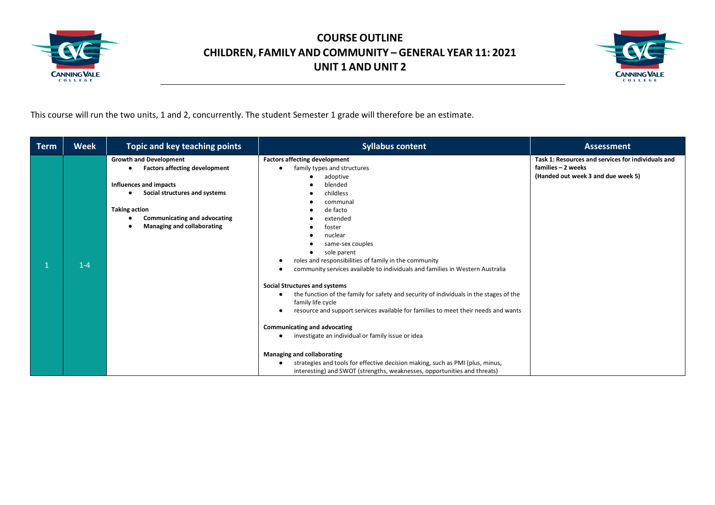



This course will run the two units, 1 and 2, concurrently. The student Semester 1 grade will therefore be an estimate.

| <b>Term</b> | <b>Week</b> | Topic and key teaching points                                                                                                                                                                                                             | <b>Syllabus content</b>                                                                                                                                                                                                                                                                                                                                                                                                                                                                                                                                                                                                                                                                                                                                                                                                                                                                  | <b>Assessment</b>                                                                                              |
|-------------|-------------|-------------------------------------------------------------------------------------------------------------------------------------------------------------------------------------------------------------------------------------------|------------------------------------------------------------------------------------------------------------------------------------------------------------------------------------------------------------------------------------------------------------------------------------------------------------------------------------------------------------------------------------------------------------------------------------------------------------------------------------------------------------------------------------------------------------------------------------------------------------------------------------------------------------------------------------------------------------------------------------------------------------------------------------------------------------------------------------------------------------------------------------------|----------------------------------------------------------------------------------------------------------------|
|             | $1 - 4$     | <b>Growth and Development</b><br><b>Factors affecting development</b><br>Influences and impacts<br>Social structures and systems<br>٠<br><b>Taking action</b><br><b>Communicating and advocating</b><br><b>Managing and collaborating</b> | <b>Factors affecting development</b><br>family types and structures<br>adoptive<br>blended<br>childless<br>communal<br>de facto<br>extended<br>foster<br>nuclear<br>same-sex couples<br>sole parent<br>roles and responsibilities of family in the community<br>community services available to individuals and families in Western Australia<br><b>Social Structures and systems</b><br>the function of the family for safety and security of individuals in the stages of the<br>family life cycle<br>resource and support services available for families to meet their needs and wants<br>- -<br><b>Communicating and advocating</b><br>investigate an individual or family issue or idea<br>Managing and collaborating<br>strategies and tools for effective decision making, such as PMI (plus, minus,<br>interesting) and SWOT (strengths, weaknesses, opportunities and threats) | Task 1: Resources and services for individuals and<br>families - 2 weeks<br>(Handed out week 3 and due week 5) |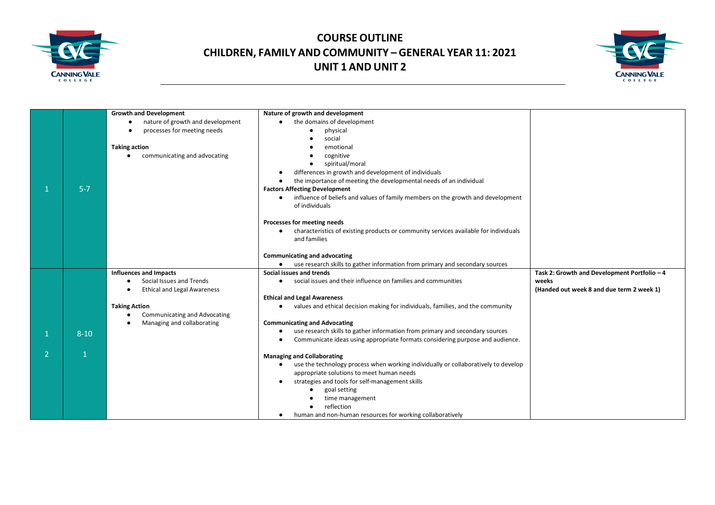



|                          |              | <b>Growth and Development</b>                 | Nature of growth and development                                                                  |                                              |
|--------------------------|--------------|-----------------------------------------------|---------------------------------------------------------------------------------------------------|----------------------------------------------|
|                          |              | nature of growth and development<br>$\bullet$ | the domains of development<br>$\bullet$                                                           |                                              |
|                          |              | processes for meeting needs                   | physical                                                                                          |                                              |
|                          |              |                                               | social                                                                                            |                                              |
|                          |              | <b>Taking action</b>                          | emotional                                                                                         |                                              |
|                          |              | communicating and advocating                  | cognitive                                                                                         |                                              |
|                          |              |                                               | spiritual/moral                                                                                   |                                              |
|                          |              |                                               | differences in growth and development of individuals<br>٠                                         |                                              |
|                          |              |                                               | the importance of meeting the developmental needs of an individual<br>$\bullet$                   |                                              |
|                          | $5 - 7$      |                                               | <b>Factors Affecting Development</b>                                                              |                                              |
|                          |              |                                               | influence of beliefs and values of family members on the growth and development<br>$\bullet$      |                                              |
|                          |              |                                               | of individuals                                                                                    |                                              |
|                          |              |                                               |                                                                                                   |                                              |
|                          |              |                                               | Processes for meeting needs                                                                       |                                              |
|                          |              |                                               | characteristics of existing products or community services available for individuals<br>$\bullet$ |                                              |
|                          |              |                                               | and families                                                                                      |                                              |
|                          |              |                                               |                                                                                                   |                                              |
|                          |              |                                               | <b>Communicating and advocating</b>                                                               |                                              |
|                          |              |                                               | • use research skills to gather information from primary and secondary sources                    |                                              |
|                          |              | <b>Influences and Impacts</b>                 | Social issues and trends                                                                          | Task 2: Growth and Development Portfolio - 4 |
|                          |              | Social Issues and Trends                      | • social issues and their influence on families and communities                                   | weeks                                        |
|                          |              | <b>Ethical and Legal Awareness</b>            |                                                                                                   | (Handed out week 8 and due term 2 week 1)    |
|                          |              |                                               | <b>Ethical and Legal Awareness</b>                                                                |                                              |
|                          |              | <b>Taking Action</b>                          | values and ethical decision making for individuals, families, and the community<br>$\bullet$      |                                              |
|                          |              | Communicating and Advocating                  |                                                                                                   |                                              |
|                          |              | Managing and collaborating                    | <b>Communicating and Advocating</b>                                                               |                                              |
|                          | $8 - 10$     |                                               | use research skills to gather information from primary and secondary sources<br>$\bullet$         |                                              |
|                          |              |                                               | Communicate ideas using appropriate formats considering purpose and audience.<br>$\bullet$        |                                              |
| $\overline{\phantom{a}}$ | $\mathbf{1}$ |                                               | <b>Managing and Collaborating</b>                                                                 |                                              |
|                          |              |                                               | use the technology process when working individually or collaboratively to develop<br>$\bullet$   |                                              |
|                          |              |                                               | appropriate solutions to meet human needs                                                         |                                              |
|                          |              |                                               | strategies and tools for self-management skills<br>$\bullet$                                      |                                              |
|                          |              |                                               | goal setting                                                                                      |                                              |
|                          |              |                                               | time management                                                                                   |                                              |
|                          |              |                                               | reflection                                                                                        |                                              |
|                          |              |                                               |                                                                                                   |                                              |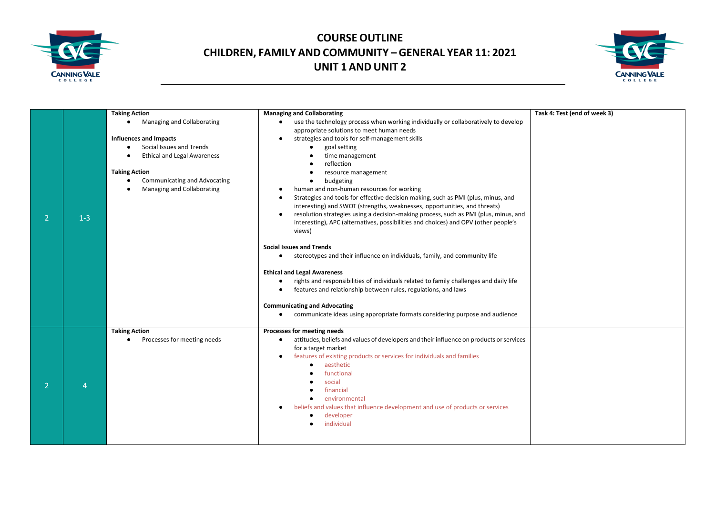



| $\mathcal{P}$  | $1 - 3$ | <b>Taking Action</b><br>Managing and Collaborating<br><b>Influences and Impacts</b><br>Social Issues and Trends<br><b>Ethical and Legal Awareness</b><br><b>Taking Action</b><br>Communicating and Advocating<br>Managing and Collaborating | <b>Managing and Collaborating</b><br>use the technology process when working individually or collaboratively to develop<br>$\bullet$<br>appropriate solutions to meet human needs<br>strategies and tools for self-management skills<br>$\bullet$<br>goal setting<br>time management<br>reflection<br>resource management<br>budgeting<br>٠<br>human and non-human resources for working<br>٠<br>Strategies and tools for effective decision making, such as PMI (plus, minus, and<br>$\bullet$<br>interesting) and SWOT (strengths, weaknesses, opportunities, and threats)<br>resolution strategies using a decision-making process, such as PMI (plus, minus, and<br>$\bullet$<br>interesting), APC (alternatives, possibilities and choices) and OPV (other people's<br>views)<br><b>Social Issues and Trends</b><br>stereotypes and their influence on individuals, family, and community life<br>٠<br><b>Ethical and Legal Awareness</b><br>rights and responsibilities of individuals related to family challenges and daily life<br>$\bullet$<br>features and relationship between rules, regulations, and laws<br>$\bullet$<br><b>Communicating and Advocating</b> | Task 4: Test (end of week 3) |
|----------------|---------|---------------------------------------------------------------------------------------------------------------------------------------------------------------------------------------------------------------------------------------------|-----------------------------------------------------------------------------------------------------------------------------------------------------------------------------------------------------------------------------------------------------------------------------------------------------------------------------------------------------------------------------------------------------------------------------------------------------------------------------------------------------------------------------------------------------------------------------------------------------------------------------------------------------------------------------------------------------------------------------------------------------------------------------------------------------------------------------------------------------------------------------------------------------------------------------------------------------------------------------------------------------------------------------------------------------------------------------------------------------------------------------------------------------------------------------|------------------------------|
|                |         |                                                                                                                                                                                                                                             | communicate ideas using appropriate formats considering purpose and audience<br>$\bullet$                                                                                                                                                                                                                                                                                                                                                                                                                                                                                                                                                                                                                                                                                                                                                                                                                                                                                                                                                                                                                                                                                   |                              |
|                |         | <b>Taking Action</b>                                                                                                                                                                                                                        | Processes for meeting needs                                                                                                                                                                                                                                                                                                                                                                                                                                                                                                                                                                                                                                                                                                                                                                                                                                                                                                                                                                                                                                                                                                                                                 |                              |
| $\overline{2}$ | 4       | Processes for meeting needs                                                                                                                                                                                                                 | attitudes, beliefs and values of developers and their influence on products or services<br>$\bullet$<br>for a target market<br>features of existing products or services for individuals and families<br>$\bullet$<br>aesthetic<br>functional<br>social<br>financial<br>environmental<br>٠<br>beliefs and values that influence development and use of products or services<br>developer<br>individual                                                                                                                                                                                                                                                                                                                                                                                                                                                                                                                                                                                                                                                                                                                                                                      |                              |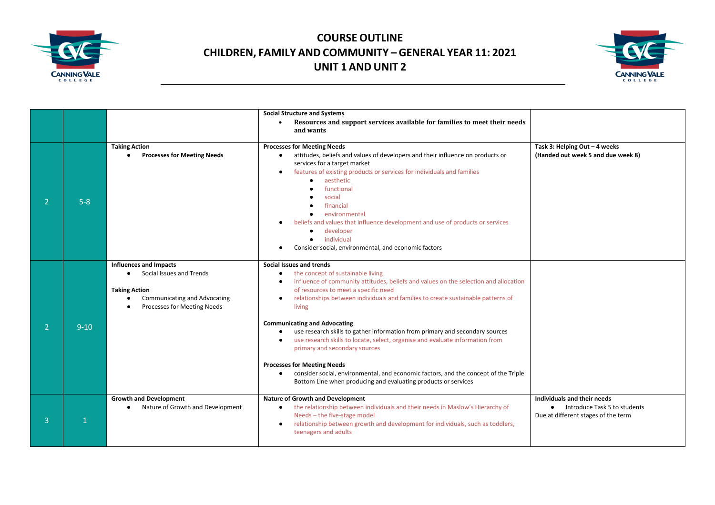



|                |          |                                                                                                                                                                      | <b>Social Structure and Systems</b><br>Resources and support services available for families to meet their needs<br>$\bullet$<br>and wants                                                                                                                                                                                                                                                                                                                                                                                                                                                                                                                                                                                                                                                                        |                                                                                                                 |
|----------------|----------|----------------------------------------------------------------------------------------------------------------------------------------------------------------------|-------------------------------------------------------------------------------------------------------------------------------------------------------------------------------------------------------------------------------------------------------------------------------------------------------------------------------------------------------------------------------------------------------------------------------------------------------------------------------------------------------------------------------------------------------------------------------------------------------------------------------------------------------------------------------------------------------------------------------------------------------------------------------------------------------------------|-----------------------------------------------------------------------------------------------------------------|
| $\overline{2}$ | $5 - 8$  | <b>Taking Action</b><br><b>Processes for Meeting Needs</b>                                                                                                           | <b>Processes for Meeting Needs</b><br>attitudes, beliefs and values of developers and their influence on products or<br>٠<br>services for a target market<br>features of existing products or services for individuals and families<br>$\bullet$<br>aesthetic<br>$\bullet$<br>functional<br>social<br>financial<br>environmental<br>beliefs and values that influence development and use of products or services<br>developer<br>٠<br>individual<br>Consider social, environmental, and economic factors                                                                                                                                                                                                                                                                                                         | Task 3: Helping Out - 4 weeks<br>(Handed out week 5 and due week 8)                                             |
| $\overline{2}$ | $9 - 10$ | <b>Influences and Impacts</b><br>Social Issues and Trends<br>$\bullet$<br><b>Taking Action</b><br><b>Communicating and Advocating</b><br>Processes for Meeting Needs | Social Issues and trends<br>the concept of sustainable living<br>$\bullet$<br>influence of community attitudes, beliefs and values on the selection and allocation<br>$\bullet$<br>of resources to meet a specific need<br>relationships between individuals and families to create sustainable patterns of<br>$\bullet$<br>living<br><b>Communicating and Advocating</b><br>use research skills to gather information from primary and secondary sources<br>$\bullet$<br>use research skills to locate, select, organise and evaluate information from<br>$\bullet$<br>primary and secondary sources<br><b>Processes for Meeting Needs</b><br>consider social, environmental, and economic factors, and the concept of the Triple<br>$\bullet$<br>Bottom Line when producing and evaluating products or services |                                                                                                                 |
| 3              |          | <b>Growth and Development</b><br>Nature of Growth and Development<br>$\bullet$                                                                                       | Nature of Growth and Development<br>the relationship between individuals and their needs in Maslow's Hierarchy of<br>٠<br>Needs - the five-stage model<br>relationship between growth and development for individuals, such as toddlers,<br>$\bullet$<br>teenagers and adults                                                                                                                                                                                                                                                                                                                                                                                                                                                                                                                                     | Individuals and their needs<br>Introduce Task 5 to students<br>$\bullet$<br>Due at different stages of the term |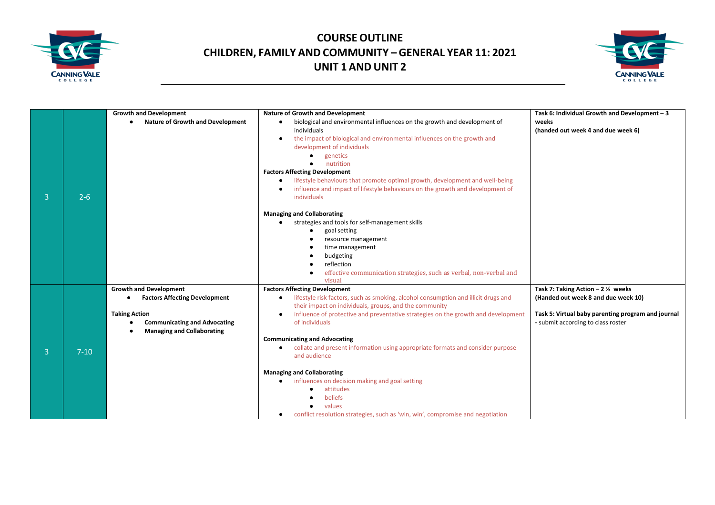



|                |          | <b>Growth and Development</b>                        | <b>Nature of Growth and Development</b>                                                         | Task 6: Individual Growth and Development - 3      |
|----------------|----------|------------------------------------------------------|-------------------------------------------------------------------------------------------------|----------------------------------------------------|
|                |          | <b>Nature of Growth and Development</b><br>$\bullet$ | biological and environmental influences on the growth and development of<br>$\bullet$           | weeks                                              |
|                |          |                                                      | individuals                                                                                     | (handed out week 4 and due week 6)                 |
|                |          |                                                      | the impact of biological and environmental influences on the growth and<br>$\bullet$            |                                                    |
|                |          |                                                      | development of individuals                                                                      |                                                    |
|                |          |                                                      | genetics                                                                                        |                                                    |
|                |          |                                                      | nutrition                                                                                       |                                                    |
|                |          |                                                      | <b>Factors Affecting Development</b>                                                            |                                                    |
|                |          |                                                      | lifestyle behaviours that promote optimal growth, development and well-being<br>$\bullet$       |                                                    |
|                |          |                                                      | influence and impact of lifestyle behaviours on the growth and development of                   |                                                    |
| 3              | $2 - 6$  |                                                      | individuals                                                                                     |                                                    |
|                |          |                                                      |                                                                                                 |                                                    |
|                |          |                                                      | <b>Managing and Collaborating</b>                                                               |                                                    |
|                |          |                                                      | strategies and tools for self-management skills                                                 |                                                    |
|                |          |                                                      | goal setting                                                                                    |                                                    |
|                |          |                                                      | resource management                                                                             |                                                    |
|                |          |                                                      | time management<br>budgeting                                                                    |                                                    |
|                |          |                                                      | reflection                                                                                      |                                                    |
|                |          |                                                      | effective communication strategies, such as verbal, non-verbal and                              |                                                    |
|                |          |                                                      | visual                                                                                          |                                                    |
|                |          | <b>Growth and Development</b>                        | <b>Factors Affecting Development</b>                                                            | Task 7: Taking Action - 2 1/2 weeks                |
|                |          | <b>Factors Affecting Development</b>                 | lifestyle risk factors, such as smoking, alcohol consumption and illicit drugs and<br>$\bullet$ | (Handed out week 8 and due week 10)                |
|                |          |                                                      | their impact on individuals, groups, and the community                                          |                                                    |
|                |          | <b>Taking Action</b>                                 | influence of protective and preventative strategies on the growth and development<br>$\bullet$  | Task 5: Virtual baby parenting program and journal |
|                |          | <b>Communicating and Advocating</b>                  | of individuals                                                                                  | - submit according to class roster                 |
|                |          | <b>Managing and Collaborating</b>                    |                                                                                                 |                                                    |
|                |          |                                                      | <b>Communicating and Advocating</b>                                                             |                                                    |
| $\overline{3}$ | $7 - 10$ |                                                      | collate and present information using appropriate formats and consider purpose<br>$\bullet$     |                                                    |
|                |          |                                                      | and audience                                                                                    |                                                    |
|                |          |                                                      | <b>Managing and Collaborating</b>                                                               |                                                    |
|                |          |                                                      | influences on decision making and goal setting<br>$\bullet$                                     |                                                    |
|                |          |                                                      | attitudes                                                                                       |                                                    |
|                |          |                                                      | beliefs                                                                                         |                                                    |
|                |          |                                                      | values                                                                                          |                                                    |
|                |          |                                                      | conflict resolution strategies, such as 'win, win', compromise and negotiation                  |                                                    |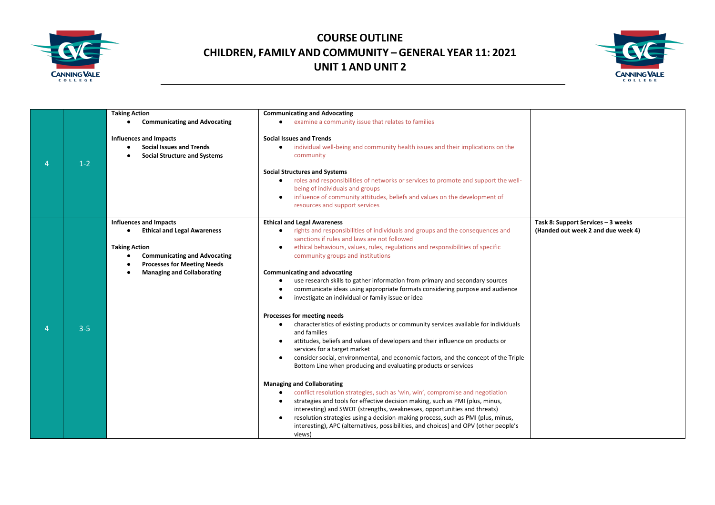



|                |         | <b>Taking Action</b>                                                                                    | <b>Communicating and Advocating</b>                                                                                                          |                                    |
|----------------|---------|---------------------------------------------------------------------------------------------------------|----------------------------------------------------------------------------------------------------------------------------------------------|------------------------------------|
|                |         |                                                                                                         |                                                                                                                                              |                                    |
|                |         | <b>Communicating and Advocating</b><br>$\bullet$                                                        | • examine a community issue that relates to families                                                                                         |                                    |
| $\overline{4}$ | $1-2$   | <b>Influences and Impacts</b><br><b>Social Issues and Trends</b><br><b>Social Structure and Systems</b> | <b>Social Issues and Trends</b><br>individual well-being and community health issues and their implications on the<br>$\bullet$<br>community |                                    |
|                |         |                                                                                                         | <b>Social Structures and Systems</b>                                                                                                         |                                    |
|                |         |                                                                                                         | roles and responsibilities of networks or services to promote and support the well-<br>$\bullet$                                             |                                    |
|                |         |                                                                                                         | being of individuals and groups                                                                                                              |                                    |
|                |         |                                                                                                         | influence of community attitudes, beliefs and values on the development of                                                                   |                                    |
|                |         |                                                                                                         | resources and support services                                                                                                               |                                    |
|                |         |                                                                                                         |                                                                                                                                              |                                    |
|                |         | <b>Influences and Impacts</b>                                                                           | <b>Ethical and Legal Awareness</b>                                                                                                           | Task 8: Support Services - 3 weeks |
|                |         | <b>Ethical and Legal Awareness</b>                                                                      | rights and responsibilities of individuals and groups and the consequences and<br>sanctions if rules and laws are not followed               | (Handed out week 2 and due week 4) |
|                |         | <b>Taking Action</b>                                                                                    | ethical behaviours, values, rules, regulations and responsibilities of specific                                                              |                                    |
|                |         |                                                                                                         |                                                                                                                                              |                                    |
|                |         | <b>Communicating and Advocating</b><br>$\bullet$                                                        | community groups and institutions                                                                                                            |                                    |
|                |         | <b>Processes for Meeting Needs</b>                                                                      |                                                                                                                                              |                                    |
|                |         | <b>Managing and Collaborating</b>                                                                       | Communicating and advocating                                                                                                                 |                                    |
|                |         |                                                                                                         | use research skills to gather information from primary and secondary sources<br>$\bullet$                                                    |                                    |
|                |         |                                                                                                         | communicate ideas using appropriate formats considering purpose and audience                                                                 |                                    |
|                |         |                                                                                                         | investigate an individual or family issue or idea                                                                                            |                                    |
|                |         |                                                                                                         | Processes for meeting needs                                                                                                                  |                                    |
|                |         |                                                                                                         | characteristics of existing products or community services available for individuals<br>$\bullet$                                            |                                    |
|                | $3 - 5$ |                                                                                                         | and families                                                                                                                                 |                                    |
|                |         |                                                                                                         | attitudes, beliefs and values of developers and their influence on products or                                                               |                                    |
|                |         |                                                                                                         | services for a target market                                                                                                                 |                                    |
|                |         |                                                                                                         | consider social, environmental, and economic factors, and the concept of the Triple<br>$\bullet$                                             |                                    |
|                |         |                                                                                                         | Bottom Line when producing and evaluating products or services                                                                               |                                    |
|                |         |                                                                                                         |                                                                                                                                              |                                    |
|                |         |                                                                                                         | <b>Managing and Collaborating</b>                                                                                                            |                                    |
|                |         |                                                                                                         | conflict resolution strategies, such as 'win, win', compromise and negotiation<br>$\bullet$                                                  |                                    |
|                |         |                                                                                                         | strategies and tools for effective decision making, such as PMI (plus, minus,<br>$\bullet$                                                   |                                    |
|                |         |                                                                                                         | interesting) and SWOT (strengths, weaknesses, opportunities and threats)                                                                     |                                    |
|                |         |                                                                                                         | resolution strategies using a decision-making process, such as PMI (plus, minus,<br>$\bullet$                                                |                                    |
|                |         |                                                                                                         | interesting), APC (alternatives, possibilities, and choices) and OPV (other people's                                                         |                                    |
|                |         |                                                                                                         | views)                                                                                                                                       |                                    |